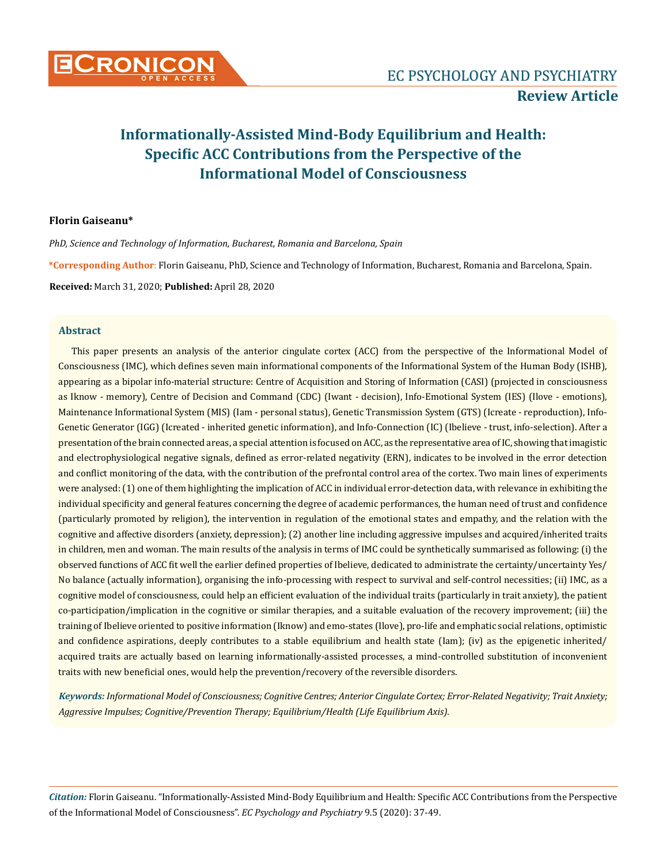

## **Florin Gaiseanu\***

*PhD, Science and Technology of Information, Bucharest, Romania and Barcelona, Spain*

**\*Corresponding Author**: Florin Gaiseanu, PhD, Science and Technology of Information, Bucharest, Romania and Barcelona, Spain.

**Received:** March 31, 2020; **Published:** April 28, 2020

## **Abstract**

This paper presents an analysis of the anterior cingulate cortex (ACC) from the perspective of the Informational Model of Consciousness (IMC), which defines seven main informational components of the Informational System of the Human Body (ISHB), appearing as a bipolar info-material structure: Centre of Acquisition and Storing of Information (CASI) (projected in consciousness as Iknow - memory), Centre of Decision and Command (CDC) (Iwant - decision), Info-Emotional System (IES) (Ilove - emotions), Maintenance Informational System (MIS) (Iam - personal status), Genetic Transmission System (GTS) (Icreate - reproduction), Info-Genetic Generator (IGG) (Icreated - inherited genetic information), and Info-Connection (IC) (Ibelieve - trust, info-selection). After a presentation of the brain connected areas, a special attention is focused on ACC, as the representative area of IC, showing that imagistic and electrophysiological negative signals, defined as error-related negativity (ERN), indicates to be involved in the error detection and conflict monitoring of the data, with the contribution of the prefrontal control area of the cortex. Two main lines of experiments were analysed: (1) one of them highlighting the implication of ACC in individual error-detection data, with relevance in exhibiting the individual specificity and general features concerning the degree of academic performances, the human need of trust and confidence (particularly promoted by religion), the intervention in regulation of the emotional states and empathy, and the relation with the cognitive and affective disorders (anxiety, depression); (2) another line including aggressive impulses and acquired/inherited traits in children, men and woman. The main results of the analysis in terms of IMC could be synthetically summarised as following: (i) the observed functions of ACC fit well the earlier defined properties of Ibelieve, dedicated to administrate the certainty/uncertainty Yes/ No balance (actually information), organising the info-processing with respect to survival and self-control necessities; (ii) IMC, as a cognitive model of consciousness, could help an efficient evaluation of the individual traits (particularly in trait anxiety), the patient co-participation/implication in the cognitive or similar therapies, and a suitable evaluation of the recovery improvement; (iii) the training of Ibelieve oriented to positive information (Iknow) and emo-states (Ilove), pro-life and emphatic social relations, optimistic and confidence aspirations, deeply contributes to a stable equilibrium and health state (Iam); (iv) as the epigenetic inherited/ acquired traits are actually based on learning informationally-assisted processes, a mind-controlled substitution of inconvenient traits with new beneficial ones, would help the prevention/recovery of the reversible disorders.

*Keywords: Informational Model of Consciousness; Cognitive Centres; Anterior Cingulate Cortex; Error-Related Negativity; Trait Anxiety; Aggressive Impulses; Cognitive/Prevention Therapy; Equilibrium/Health (Life Equilibrium Axis).*

*Citation:* Florin Gaiseanu. "Informationally-Assisted Mind-Body Equilibrium and Health: Specific ACC Contributions from the Perspective of the Informational Model of Consciousness". *EC Psychology and Psychiatry* 9.5 (2020): 37-49.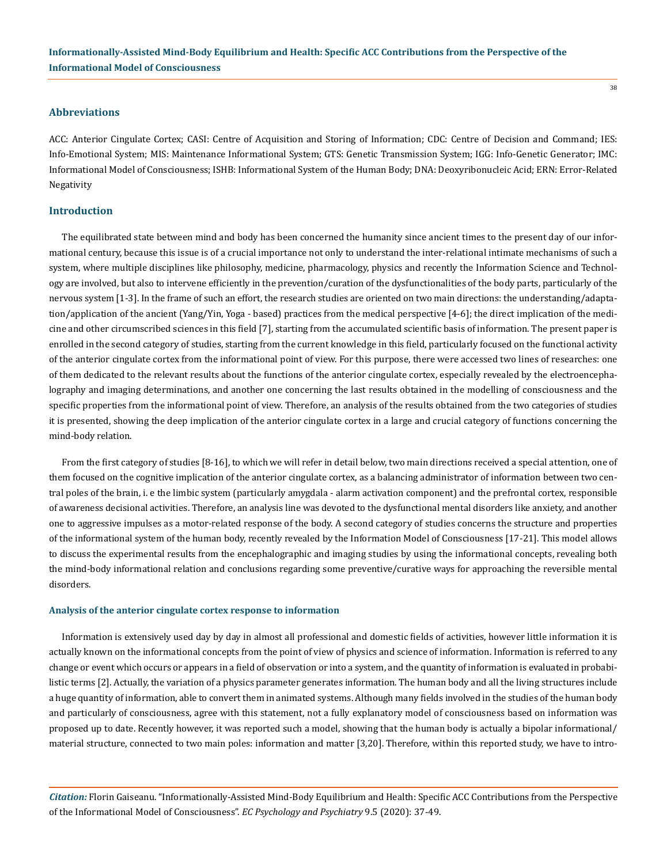#### **Abbreviations**

ACC: Anterior Cingulate Cortex; CASI: Centre of Acquisition and Storing of Information; CDC: Centre of Decision and Command; IES: Info-Emotional System; MIS: Maintenance Informational System; GTS: Genetic Transmission System; IGG: Info-Genetic Generator; IMC: Informational Model of Consciousness; ISHB: Informational System of the Human Body; DNA: Deoxyribonucleic Acid; ERN: Error-Related Negativity

## **Introduction**

The equilibrated state between mind and body has been concerned the humanity since ancient times to the present day of our informational century, because this issue is of a crucial importance not only to understand the inter-relational intimate mechanisms of such a system, where multiple disciplines like philosophy, medicine, pharmacology, physics and recently the Information Science and Technology are involved, but also to intervene efficiently in the prevention/curation of the dysfunctionalities of the body parts, particularly of the nervous system [1-3]. In the frame of such an effort, the research studies are oriented on two main directions: the understanding/adaptation/application of the ancient (Yang/Yin, Yoga - based) practices from the medical perspective [4-6]; the direct implication of the medicine and other circumscribed sciences in this field [7], starting from the accumulated scientific basis of information. The present paper is enrolled in the second category of studies, starting from the current knowledge in this field, particularly focused on the functional activity of the anterior cingulate cortex from the informational point of view. For this purpose, there were accessed two lines of researches: one of them dedicated to the relevant results about the functions of the anterior cingulate cortex, especially revealed by the electroencephalography and imaging determinations, and another one concerning the last results obtained in the modelling of consciousness and the specific properties from the informational point of view. Therefore, an analysis of the results obtained from the two categories of studies it is presented, showing the deep implication of the anterior cingulate cortex in a large and crucial category of functions concerning the mind-body relation.

From the first category of studies [8-16], to which we will refer in detail below, two main directions received a special attention, one of them focused on the cognitive implication of the anterior cingulate cortex, as a balancing administrator of information between two central poles of the brain, i. e the limbic system (particularly amygdala - alarm activation component) and the prefrontal cortex, responsible of awareness decisional activities. Therefore, an analysis line was devoted to the dysfunctional mental disorders like anxiety, and another one to aggressive impulses as a motor-related response of the body. A second category of studies concerns the structure and properties of the informational system of the human body, recently revealed by the Information Model of Consciousness [17-21]. This model allows to discuss the experimental results from the encephalographic and imaging studies by using the informational concepts, revealing both the mind-body informational relation and conclusions regarding some preventive/curative ways for approaching the reversible mental disorders.

#### **Analysis of the anterior cingulate cortex response to information**

Information is extensively used day by day in almost all professional and domestic fields of activities, however little information it is actually known on the informational concepts from the point of view of physics and science of information. Information is referred to any change or event which occurs or appears in a field of observation or into a system, and the quantity of information is evaluated in probabilistic terms [2]. Actually, the variation of a physics parameter generates information. The human body and all the living structures include a huge quantity of information, able to convert them in animated systems. Although many fields involved in the studies of the human body and particularly of consciousness, agree with this statement, not a fully explanatory model of consciousness based on information was proposed up to date. Recently however, it was reported such a model, showing that the human body is actually a bipolar informational/ material structure, connected to two main poles: information and matter [3,20]. Therefore, within this reported study, we have to intro-

*Citation:* Florin Gaiseanu. "Informationally-Assisted Mind-Body Equilibrium and Health: Specific ACC Contributions from the Perspective of the Informational Model of Consciousness". *EC Psychology and Psychiatry* 9.5 (2020): 37-49.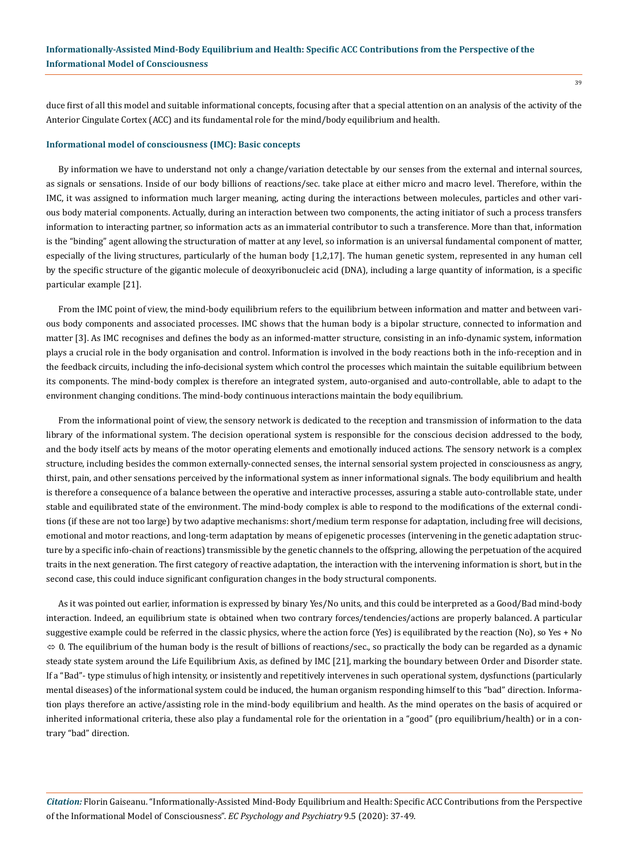duce first of all this model and suitable informational concepts, focusing after that a special attention on an analysis of the activity of the Anterior Cingulate Cortex (ACC) and its fundamental role for the mind/body equilibrium and health.

#### **Informational model of consciousness (IMC): Basic concepts**

By information we have to understand not only a change/variation detectable by our senses from the external and internal sources, as signals or sensations. Inside of our body billions of reactions/sec. take place at either micro and macro level. Therefore, within the IMC, it was assigned to information much larger meaning, acting during the interactions between molecules, particles and other various body material components. Actually, during an interaction between two components, the acting initiator of such a process transfers information to interacting partner, so information acts as an immaterial contributor to such a transference. More than that, information is the "binding" agent allowing the structuration of matter at any level, so information is an universal fundamental component of matter, especially of the living structures, particularly of the human body [1,2,17]. The human genetic system, represented in any human cell by the specific structure of the gigantic molecule of deoxyribonucleic acid (DNA), including a large quantity of information, is a specific particular example [21].

From the IMC point of view, the mind-body equilibrium refers to the equilibrium between information and matter and between various body components and associated processes. IMC shows that the human body is a bipolar structure, connected to information and matter [3]. As IMC recognises and defines the body as an informed-matter structure, consisting in an info-dynamic system, information plays a crucial role in the body organisation and control. Information is involved in the body reactions both in the info-reception and in the feedback circuits, including the info-decisional system which control the processes which maintain the suitable equilibrium between its components. The mind-body complex is therefore an integrated system, auto-organised and auto-controllable, able to adapt to the environment changing conditions. The mind-body continuous interactions maintain the body equilibrium.

From the informational point of view, the sensory network is dedicated to the reception and transmission of information to the data library of the informational system. The decision operational system is responsible for the conscious decision addressed to the body, and the body itself acts by means of the motor operating elements and emotionally induced actions. The sensory network is a complex structure, including besides the common externally-connected senses, the internal sensorial system projected in consciousness as angry, thirst, pain, and other sensations perceived by the informational system as inner informational signals. The body equilibrium and health is therefore a consequence of a balance between the operative and interactive processes, assuring a stable auto-controllable state, under stable and equilibrated state of the environment. The mind-body complex is able to respond to the modifications of the external conditions (if these are not too large) by two adaptive mechanisms: short/medium term response for adaptation, including free will decisions, emotional and motor reactions, and long-term adaptation by means of epigenetic processes (intervening in the genetic adaptation structure by a specific info-chain of reactions) transmissible by the genetic channels to the offspring, allowing the perpetuation of the acquired traits in the next generation. The first category of reactive adaptation, the interaction with the intervening information is short, but in the second case, this could induce significant configuration changes in the body structural components.

As it was pointed out earlier, information is expressed by binary Yes/No units, and this could be interpreted as a Good/Bad mind-body interaction. Indeed, an equilibrium state is obtained when two contrary forces/tendencies/actions are properly balanced. A particular suggestive example could be referred in the classic physics, where the action force (Yes) is equilibrated by the reaction (No), so Yes + No  $\Leftrightarrow$  0. The equilibrium of the human body is the result of billions of reactions/sec., so practically the body can be regarded as a dynamic steady state system around the Life Equilibrium Axis, as defined by IMC [21], marking the boundary between Order and Disorder state. If a "Bad"- type stimulus of high intensity, or insistently and repetitively intervenes in such operational system, dysfunctions (particularly mental diseases) of the informational system could be induced, the human organism responding himself to this "bad" direction. Information plays therefore an active/assisting role in the mind-body equilibrium and health. As the mind operates on the basis of acquired or inherited informational criteria, these also play a fundamental role for the orientation in a "good" (pro equilibrium/health) or in a contrary "bad" direction.

*Citation:* Florin Gaiseanu. "Informationally-Assisted Mind-Body Equilibrium and Health: Specific ACC Contributions from the Perspective of the Informational Model of Consciousness". *EC Psychology and Psychiatry* 9.5 (2020): 37-49.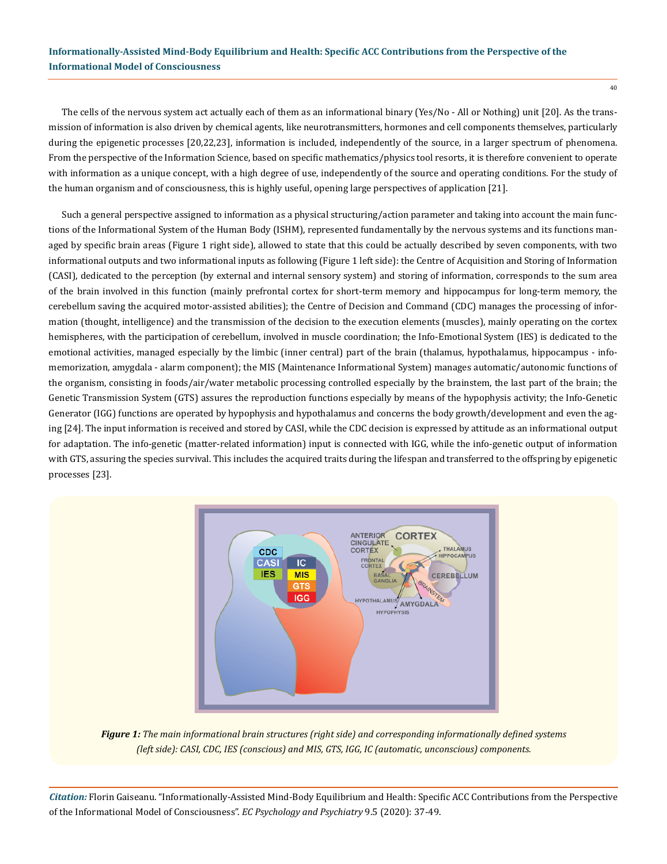The cells of the nervous system act actually each of them as an informational binary (Yes/No - All or Nothing) unit [20]. As the transmission of information is also driven by chemical agents, like neurotransmitters, hormones and cell components themselves, particularly during the epigenetic processes [20,22,23], information is included, independently of the source, in a larger spectrum of phenomena. From the perspective of the Information Science, based on specific mathematics/physics tool resorts, it is therefore convenient to operate with information as a unique concept, with a high degree of use, independently of the source and operating conditions. For the study of the human organism and of consciousness, this is highly useful, opening large perspectives of application [21].

Such a general perspective assigned to information as a physical structuring/action parameter and taking into account the main functions of the Informational System of the Human Body (ISHM), represented fundamentally by the nervous systems and its functions managed by specific brain areas (Figure 1 right side), allowed to state that this could be actually described by seven components, with two informational outputs and two informational inputs as following (Figure 1 left side): the Centre of Acquisition and Storing of Information (CASI), dedicated to the perception (by external and internal sensory system) and storing of information, corresponds to the sum area of the brain involved in this function (mainly prefrontal cortex for short-term memory and hippocampus for long-term memory, the cerebellum saving the acquired motor-assisted abilities); the Centre of Decision and Command (CDC) manages the processing of information (thought, intelligence) and the transmission of the decision to the execution elements (muscles), mainly operating on the cortex hemispheres, with the participation of cerebellum, involved in muscle coordination; the Info-Emotional System (IES) is dedicated to the emotional activities, managed especially by the limbic (inner central) part of the brain (thalamus, hypothalamus, hippocampus - infomemorization, amygdala - alarm component); the MIS (Maintenance Informational System) manages automatic/autonomic functions of the organism, consisting in foods/air/water metabolic processing controlled especially by the brainstem, the last part of the brain; the Genetic Transmission System (GTS) assures the reproduction functions especially by means of the hypophysis activity; the Info-Genetic Generator (IGG) functions are operated by hypophysis and hypothalamus and concerns the body growth/development and even the aging [24]. The input information is received and stored by CASI, while the CDC decision is expressed by attitude as an informational output for adaptation. The info-genetic (matter-related information) input is connected with IGG, while the info-genetic output of information with GTS, assuring the species survival. This includes the acquired traits during the lifespan and transferred to the offspring by epigenetic processes [23].



*Figure 1: The main informational brain structures (right side) and corresponding informationally defined systems (left side): CASI, CDC, IES (conscious) and MIS, GTS, IGG, IC (automatic, unconscious) components.*

*Citation:* Florin Gaiseanu. "Informationally-Assisted Mind-Body Equilibrium and Health: Specific ACC Contributions from the Perspective of the Informational Model of Consciousness". *EC Psychology and Psychiatry* 9.5 (2020): 37-49.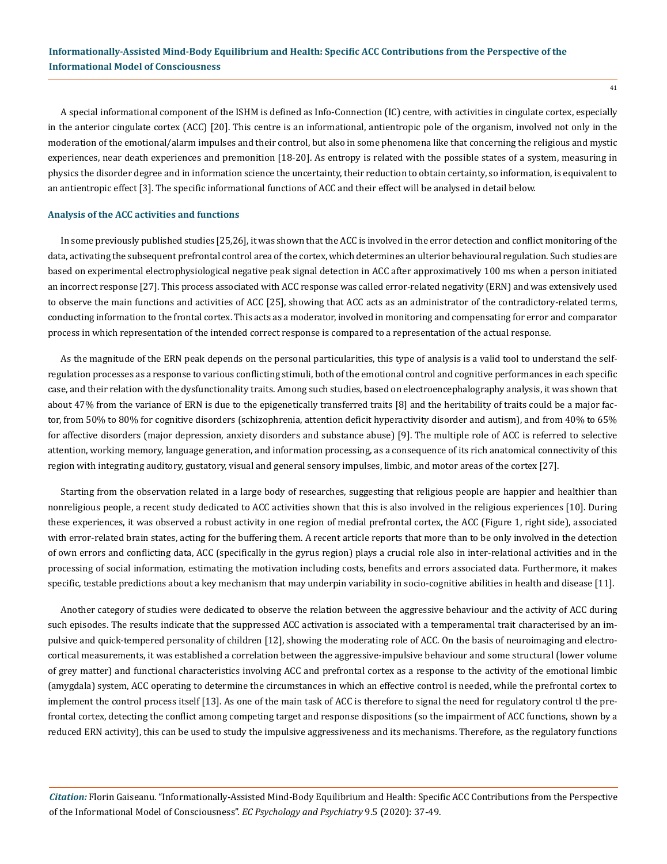A special informational component of the ISHM is defined as Info-Connection (IC) centre, with activities in cingulate cortex, especially in the anterior cingulate cortex (ACC) [20]. This centre is an informational, antientropic pole of the organism, involved not only in the moderation of the emotional/alarm impulses and their control, but also in some phenomena like that concerning the religious and mystic experiences, near death experiences and premonition [18-20]. As entropy is related with the possible states of a system, measuring in physics the disorder degree and in information science the uncertainty, their reduction to obtain certainty, so information, is equivalent to an antientropic effect [3]. The specific informational functions of ACC and their effect will be analysed in detail below.

#### **Analysis of the ACC activities and functions**

In some previously published studies [25,26], it was shown that the ACC is involved in the error detection and conflict monitoring of the data, activating the subsequent prefrontal control area of the cortex, which determines an ulterior behavioural regulation. Such studies are based on experimental electrophysiological negative peak signal detection in ACC after approximatively 100 ms when a person initiated an incorrect response [27]. This process associated with ACC response was called error-related negativity (ERN) and was extensively used to observe the main functions and activities of ACC [25], showing that ACC acts as an administrator of the contradictory-related terms, conducting information to the frontal cortex. This acts as a moderator, involved in monitoring and compensating for error and comparator process in which representation of the intended correct response is compared to a representation of the actual response.

As the magnitude of the ERN peak depends on the personal particularities, this type of analysis is a valid tool to understand the selfregulation processes as a response to various conflicting stimuli, both of the emotional control and cognitive performances in each specific case, and their relation with the dysfunctionality traits. Among such studies, based on electroencephalography analysis, it was shown that about 47% from the variance of ERN is due to the epigenetically transferred traits [8] and the heritability of traits could be a major factor, from 50% to 80% for cognitive disorders (schizophrenia, attention deficit hyperactivity disorder and autism), and from 40% to 65% for affective disorders (major depression, anxiety disorders and substance abuse) [9]. The multiple role of ACC is referred to selective attention, working memory, language generation, and information processing, as a consequence of its rich anatomical connectivity of this region with integrating auditory, gustatory, visual and general sensory impulses, limbic, and motor areas of the cortex [27].

Starting from the observation related in a large body of researches, suggesting that religious people are happier and healthier than nonreligious people, a recent study dedicated to ACC activities shown that this is also involved in the religious experiences [10]. During these experiences, it was observed a robust activity in one region of medial prefrontal cortex, the ACC (Figure 1, right side), associated with error-related brain states, acting for the buffering them. A recent article reports that more than to be only involved in the detection of own errors and conflicting data, ACC (specifically in the gyrus region) plays a crucial role also in inter-relational activities and in the processing of social information, estimating the motivation including costs, benefits and errors associated data. Furthermore, it makes specific, testable predictions about a key mechanism that may underpin variability in socio-cognitive abilities in health and disease [11].

Another category of studies were dedicated to observe the relation between the aggressive behaviour and the activity of ACC during such episodes. The results indicate that the suppressed ACC activation is associated with a temperamental trait characterised by an impulsive and quick-tempered personality of children [12], showing the moderating role of ACC. On the basis of neuroimaging and electrocortical measurements, it was established a correlation between the aggressive-impulsive behaviour and some structural (lower volume of grey matter) and functional characteristics involving ACC and prefrontal cortex as a response to the activity of the emotional limbic (amygdala) system, ACC operating to determine the circumstances in which an effective control is needed, while the prefrontal cortex to implement the control process itself [13]. As one of the main task of ACC is therefore to signal the need for regulatory control tl the prefrontal cortex, detecting the conflict among competing target and response dispositions (so the impairment of ACC functions, shown by a reduced ERN activity), this can be used to study the impulsive aggressiveness and its mechanisms. Therefore, as the regulatory functions

*Citation:* Florin Gaiseanu. "Informationally-Assisted Mind-Body Equilibrium and Health: Specific ACC Contributions from the Perspective of the Informational Model of Consciousness". *EC Psychology and Psychiatry* 9.5 (2020): 37-49.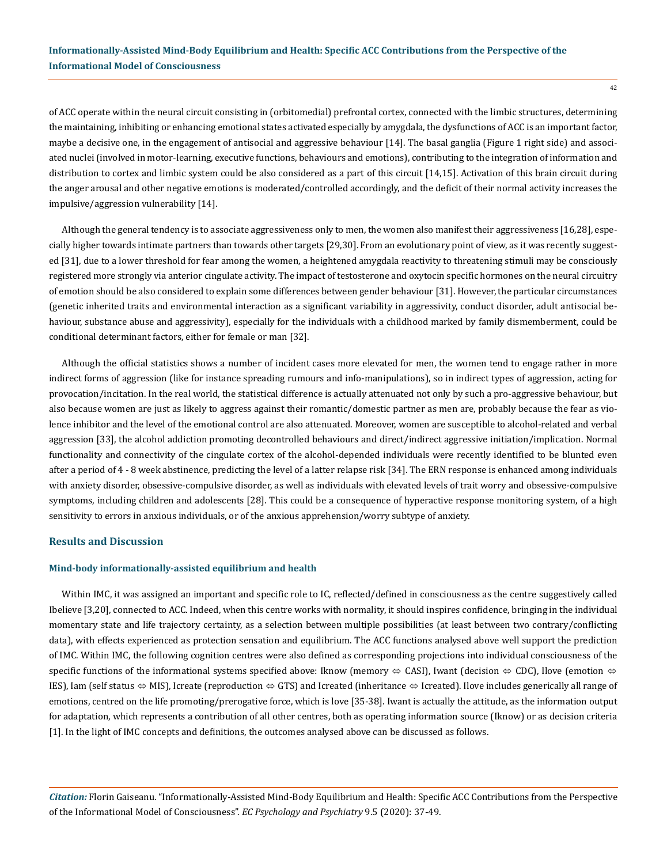of ACC operate within the neural circuit consisting in (orbitomedial) prefrontal cortex, connected with the limbic structures, determining the maintaining, inhibiting or enhancing emotional states activated especially by amygdala, the dysfunctions of ACC is an important factor, maybe a decisive one, in the engagement of antisocial and aggressive behaviour [14]. The basal ganglia (Figure 1 right side) and associated nuclei (involved in motor-learning, executive functions, behaviours and emotions), contributing to the integration of information and distribution to cortex and limbic system could be also considered as a part of this circuit [14,15]. Activation of this brain circuit during the anger arousal and other negative emotions is moderated/controlled accordingly, and the deficit of their normal activity increases the impulsive/aggression vulnerability [14].

Although the general tendency is to associate aggressiveness only to men, the women also manifest their aggressiveness [16,28], especially higher towards intimate partners than towards other targets [29,30]. From an evolutionary point of view, as it was recently suggested [31], due to a lower threshold for fear among the women, a heightened amygdala reactivity to threatening stimuli may be consciously registered more strongly via anterior cingulate activity. The impact of testosterone and oxytocin specific hormones on the neural circuitry of emotion should be also considered to explain some differences between gender behaviour [31]. However, the particular circumstances (genetic inherited traits and environmental interaction as a significant variability in aggressivity, conduct disorder, adult antisocial behaviour, substance abuse and aggressivity), especially for the individuals with a childhood marked by family dismemberment, could be conditional determinant factors, either for female or man [32].

Although the official statistics shows a number of incident cases more elevated for men, the women tend to engage rather in more indirect forms of aggression (like for instance spreading rumours and info-manipulations), so in indirect types of aggression, acting for provocation/incitation. In the real world, the statistical difference is actually attenuated not only by such a pro-aggressive behaviour, but also because women are just as likely to aggress against their romantic/domestic partner as men are, probably because the fear as violence inhibitor and the level of the emotional control are also attenuated. Moreover, women are susceptible to alcohol-related and verbal aggression [33], the alcohol addiction promoting decontrolled behaviours and direct/indirect aggressive initiation/implication. Normal functionality and connectivity of the cingulate cortex of the alcohol-depended individuals were recently identified to be blunted even after a period of 4 - 8 week abstinence, predicting the level of a latter relapse risk [34]. The ERN response is enhanced among individuals with anxiety disorder, obsessive-compulsive disorder, as well as individuals with elevated levels of trait worry and obsessive-compulsive symptoms, including children and adolescents [28]. This could be a consequence of hyperactive response monitoring system, of a high sensitivity to errors in anxious individuals, or of the anxious apprehension/worry subtype of anxiety.

### **Results and Discussion**

#### **Mind-body informationally-assisted equilibrium and health**

Within IMC, it was assigned an important and specific role to IC, reflected/defined in consciousness as the centre suggestively called Ibelieve [3,20], connected to ACC. Indeed, when this centre works with normality, it should inspires confidence, bringing in the individual momentary state and life trajectory certainty, as a selection between multiple possibilities (at least between two contrary/conflicting data), with effects experienced as protection sensation and equilibrium. The ACC functions analysed above well support the prediction of IMC. Within IMC, the following cognition centres were also defined as corresponding projections into individual consciousness of the specific functions of the informational systems specified above: Iknow (memory  $\Leftrightarrow$  CASI), Iwant (decision  $\Leftrightarrow$  CDC), Ilove (emotion  $\Leftrightarrow$ IES), Iam (self status  $\Leftrightarrow$  MIS), Icreate (reproduction  $\Leftrightarrow$  GTS) and Icreated (inheritance  $\Leftrightarrow$  Icreated). Ilove includes generically all range of emotions, centred on the life promoting/prerogative force, which is love [35-38]. Iwant is actually the attitude, as the information output for adaptation, which represents a contribution of all other centres, both as operating information source (Iknow) or as decision criteria [1]. In the light of IMC concepts and definitions, the outcomes analysed above can be discussed as follows.

*Citation:* Florin Gaiseanu. "Informationally-Assisted Mind-Body Equilibrium and Health: Specific ACC Contributions from the Perspective of the Informational Model of Consciousness". *EC Psychology and Psychiatry* 9.5 (2020): 37-49.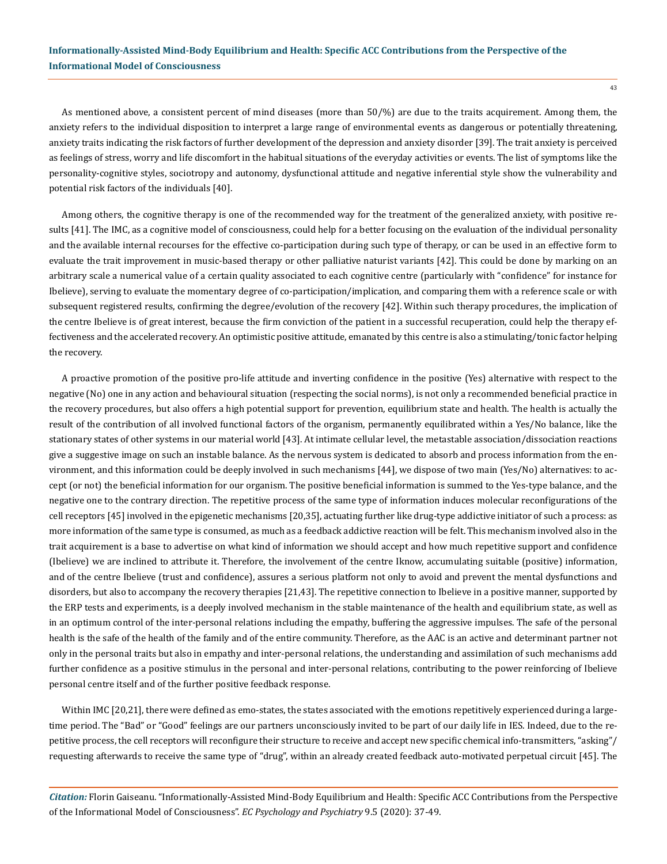As mentioned above, a consistent percent of mind diseases (more than 50/%) are due to the traits acquirement. Among them, the anxiety refers to the individual disposition to interpret a large range of environmental events as dangerous or potentially threatening, anxiety traits indicating the risk factors of further development of the depression and anxiety disorder [39]. The trait anxiety is perceived as feelings of stress, worry and life discomfort in the habitual situations of the everyday activities or events. The list of symptoms like the personality-cognitive styles, sociotropy and autonomy, dysfunctional attitude and negative inferential style show the vulnerability and potential risk factors of the individuals [40].

Among others, the cognitive therapy is one of the recommended way for the treatment of the generalized anxiety, with positive results [41]. The IMC, as a cognitive model of consciousness, could help for a better focusing on the evaluation of the individual personality and the available internal recourses for the effective co-participation during such type of therapy, or can be used in an effective form to evaluate the trait improvement in music-based therapy or other palliative naturist variants [42]. This could be done by marking on an arbitrary scale a numerical value of a certain quality associated to each cognitive centre (particularly with "confidence" for instance for Ibelieve), serving to evaluate the momentary degree of co-participation/implication, and comparing them with a reference scale or with subsequent registered results, confirming the degree/evolution of the recovery [42]. Within such therapy procedures, the implication of the centre Ibelieve is of great interest, because the firm conviction of the patient in a successful recuperation, could help the therapy effectiveness and the accelerated recovery. An optimistic positive attitude, emanated by this centre is also a stimulating/tonic factor helping the recovery.

A proactive promotion of the positive pro-life attitude and inverting confidence in the positive (Yes) alternative with respect to the negative (No) one in any action and behavioural situation (respecting the social norms), is not only a recommended beneficial practice in the recovery procedures, but also offers a high potential support for prevention, equilibrium state and health. The health is actually the result of the contribution of all involved functional factors of the organism, permanently equilibrated within a Yes/No balance, like the stationary states of other systems in our material world [43]. At intimate cellular level, the metastable association/dissociation reactions give a suggestive image on such an instable balance. As the nervous system is dedicated to absorb and process information from the environment, and this information could be deeply involved in such mechanisms [44], we dispose of two main (Yes/No) alternatives: to accept (or not) the beneficial information for our organism. The positive beneficial information is summed to the Yes-type balance, and the negative one to the contrary direction. The repetitive process of the same type of information induces molecular reconfigurations of the cell receptors [45] involved in the epigenetic mechanisms [20,35], actuating further like drug-type addictive initiator of such a process: as more information of the same type is consumed, as much as a feedback addictive reaction will be felt. This mechanism involved also in the trait acquirement is a base to advertise on what kind of information we should accept and how much repetitive support and confidence (Ibelieve) we are inclined to attribute it. Therefore, the involvement of the centre Iknow, accumulating suitable (positive) information, and of the centre Ibelieve (trust and confidence), assures a serious platform not only to avoid and prevent the mental dysfunctions and disorders, but also to accompany the recovery therapies [21,43]. The repetitive connection to Ibelieve in a positive manner, supported by the ERP tests and experiments, is a deeply involved mechanism in the stable maintenance of the health and equilibrium state, as well as in an optimum control of the inter-personal relations including the empathy, buffering the aggressive impulses. The safe of the personal health is the safe of the health of the family and of the entire community. Therefore, as the AAC is an active and determinant partner not only in the personal traits but also in empathy and inter-personal relations, the understanding and assimilation of such mechanisms add further confidence as a positive stimulus in the personal and inter-personal relations, contributing to the power reinforcing of Ibelieve personal centre itself and of the further positive feedback response.

Within IMC [20,21], there were defined as emo-states, the states associated with the emotions repetitively experienced during a largetime period. The "Bad" or "Good" feelings are our partners unconsciously invited to be part of our daily life in IES. Indeed, due to the repetitive process, the cell receptors will reconfigure their structure to receive and accept new specific chemical info-transmitters, "asking"/ requesting afterwards to receive the same type of "drug", within an already created feedback auto-motivated perpetual circuit [45]. The

*Citation:* Florin Gaiseanu. "Informationally-Assisted Mind-Body Equilibrium and Health: Specific ACC Contributions from the Perspective of the Informational Model of Consciousness". *EC Psychology and Psychiatry* 9.5 (2020): 37-49.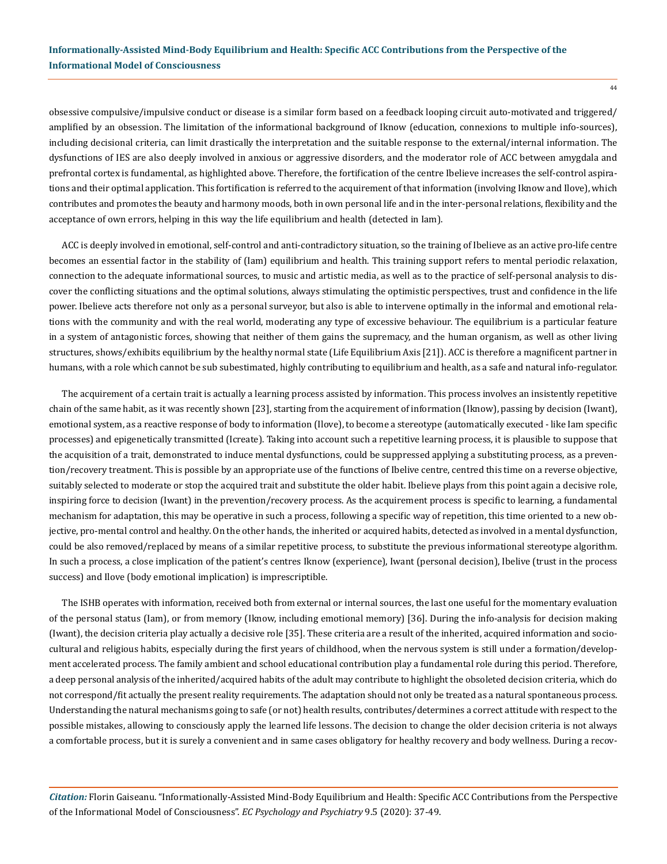obsessive compulsive/impulsive conduct or disease is a similar form based on a feedback looping circuit auto-motivated and triggered/ amplified by an obsession. The limitation of the informational background of Iknow (education, connexions to multiple info-sources), including decisional criteria, can limit drastically the interpretation and the suitable response to the external/internal information. The dysfunctions of IES are also deeply involved in anxious or aggressive disorders, and the moderator role of ACC between amygdala and prefrontal cortex is fundamental, as highlighted above. Therefore, the fortification of the centre Ibelieve increases the self-control aspirations and their optimal application. This fortification is referred to the acquirement of that information (involving Iknow and Ilove), which contributes and promotes the beauty and harmony moods, both in own personal life and in the inter-personal relations, flexibility and the acceptance of own errors, helping in this way the life equilibrium and health (detected in Iam).

ACC is deeply involved in emotional, self-control and anti-contradictory situation, so the training of Ibelieve as an active pro-life centre becomes an essential factor in the stability of (Iam) equilibrium and health. This training support refers to mental periodic relaxation, connection to the adequate informational sources, to music and artistic media, as well as to the practice of self-personal analysis to discover the conflicting situations and the optimal solutions, always stimulating the optimistic perspectives, trust and confidence in the life power. Ibelieve acts therefore not only as a personal surveyor, but also is able to intervene optimally in the informal and emotional relations with the community and with the real world, moderating any type of excessive behaviour. The equilibrium is a particular feature in a system of antagonistic forces, showing that neither of them gains the supremacy, and the human organism, as well as other living structures, shows/exhibits equilibrium by the healthy normal state (Life Equilibrium Axis [21]). ACC is therefore a magnificent partner in humans, with a role which cannot be sub subestimated, highly contributing to equilibrium and health, as a safe and natural info-regulator.

The acquirement of a certain trait is actually a learning process assisted by information. This process involves an insistently repetitive chain of the same habit, as it was recently shown [23], starting from the acquirement of information (Iknow), passing by decision (Iwant), emotional system, as a reactive response of body to information (Ilove), to become a stereotype (automatically executed - like Iam specific processes) and epigenetically transmitted (Icreate). Taking into account such a repetitive learning process, it is plausible to suppose that the acquisition of a trait, demonstrated to induce mental dysfunctions, could be suppressed applying a substituting process, as a prevention/recovery treatment. This is possible by an appropriate use of the functions of Ibelive centre, centred this time on a reverse objective, suitably selected to moderate or stop the acquired trait and substitute the older habit. Ibelieve plays from this point again a decisive role, inspiring force to decision (Iwant) in the prevention/recovery process. As the acquirement process is specific to learning, a fundamental mechanism for adaptation, this may be operative in such a process, following a specific way of repetition, this time oriented to a new objective, pro-mental control and healthy. On the other hands, the inherited or acquired habits, detected as involved in a mental dysfunction, could be also removed/replaced by means of a similar repetitive process, to substitute the previous informational stereotype algorithm. In such a process, a close implication of the patient's centres Iknow (experience), Iwant (personal decision), Ibelive (trust in the process success) and Ilove (body emotional implication) is imprescriptible.

The ISHB operates with information, received both from external or internal sources, the last one useful for the momentary evaluation of the personal status (Iam), or from memory (Iknow, including emotional memory) [36]. During the info-analysis for decision making (Iwant), the decision criteria play actually a decisive role [35]. These criteria are a result of the inherited, acquired information and sociocultural and religious habits, especially during the first years of childhood, when the nervous system is still under a formation/development accelerated process. The family ambient and school educational contribution play a fundamental role during this period. Therefore, a deep personal analysis of the inherited/acquired habits of the adult may contribute to highlight the obsoleted decision criteria, which do not correspond/fit actually the present reality requirements. The adaptation should not only be treated as a natural spontaneous process. Understanding the natural mechanisms going to safe (or not) health results, contributes/determines a correct attitude with respect to the possible mistakes, allowing to consciously apply the learned life lessons. The decision to change the older decision criteria is not always a comfortable process, but it is surely a convenient and in same cases obligatory for healthy recovery and body wellness. During a recov-

*Citation:* Florin Gaiseanu. "Informationally-Assisted Mind-Body Equilibrium and Health: Specific ACC Contributions from the Perspective of the Informational Model of Consciousness". *EC Psychology and Psychiatry* 9.5 (2020): 37-49.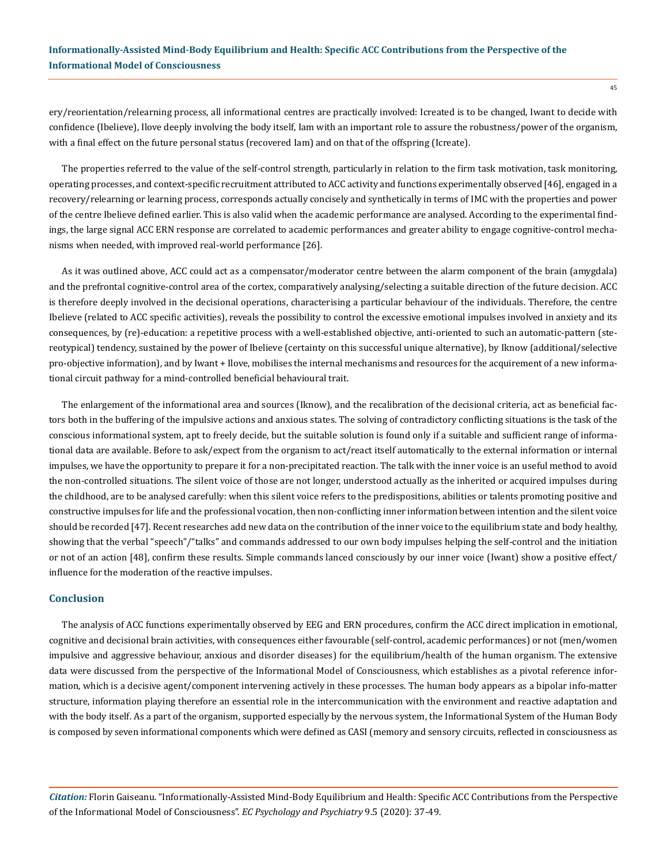ery/reorientation/relearning process, all informational centres are practically involved: Icreated is to be changed, Iwant to decide with confidence (Ibelieve), Ilove deeply involving the body itself, Iam with an important role to assure the robustness/power of the organism, with a final effect on the future personal status (recovered Iam) and on that of the offspring (Icreate).

The properties referred to the value of the self-control strength, particularly in relation to the firm task motivation, task monitoring, operating processes, and context-specific recruitment attributed to ACC activity and functions experimentally observed [46], engaged in a recovery/relearning or learning process, corresponds actually concisely and synthetically in terms of IMC with the properties and power of the centre Ibelieve defined earlier. This is also valid when the academic performance are analysed. According to the experimental findings, the large signal ACC ERN response are correlated to academic performances and greater ability to engage cognitive-control mechanisms when needed, with improved real-world performance [26].

As it was outlined above, ACC could act as a compensator/moderator centre between the alarm component of the brain (amygdala) and the prefrontal cognitive-control area of the cortex, comparatively analysing/selecting a suitable direction of the future decision. ACC is therefore deeply involved in the decisional operations, characterising a particular behaviour of the individuals. Therefore, the centre Ibelieve (related to ACC specific activities), reveals the possibility to control the excessive emotional impulses involved in anxiety and its consequences, by (re)-education: a repetitive process with a well-established objective, anti-oriented to such an automatic-pattern (stereotypical) tendency, sustained by the power of Ibelieve (certainty on this successful unique alternative), by Iknow (additional/selective pro-objective information), and by Iwant + Ilove, mobilises the internal mechanisms and resources for the acquirement of a new informational circuit pathway for a mind-controlled beneficial behavioural trait.

The enlargement of the informational area and sources (Iknow), and the recalibration of the decisional criteria, act as beneficial factors both in the buffering of the impulsive actions and anxious states. The solving of contradictory conflicting situations is the task of the conscious informational system, apt to freely decide, but the suitable solution is found only if a suitable and sufficient range of informational data are available. Before to ask/expect from the organism to act/react itself automatically to the external information or internal impulses, we have the opportunity to prepare it for a non-precipitated reaction. The talk with the inner voice is an useful method to avoid the non-controlled situations. The silent voice of those are not longer, understood actually as the inherited or acquired impulses during the childhood, are to be analysed carefully: when this silent voice refers to the predispositions, abilities or talents promoting positive and constructive impulses for life and the professional vocation, then non-conflicting inner information between intention and the silent voice should be recorded [47]. Recent researches add new data on the contribution of the inner voice to the equilibrium state and body healthy, showing that the verbal "speech"/"talks" and commands addressed to our own body impulses helping the self-control and the initiation or not of an action [48], confirm these results. Simple commands lanced consciously by our inner voice (Iwant) show a positive effect/ influence for the moderation of the reactive impulses.

#### **Conclusion**

The analysis of ACC functions experimentally observed by EEG and ERN procedures, confirm the ACC direct implication in emotional, cognitive and decisional brain activities, with consequences either favourable (self-control, academic performances) or not (men/women impulsive and aggressive behaviour, anxious and disorder diseases) for the equilibrium/health of the human organism. The extensive data were discussed from the perspective of the Informational Model of Consciousness, which establishes as a pivotal reference information, which is a decisive agent/component intervening actively in these processes. The human body appears as a bipolar info-matter structure, information playing therefore an essential role in the intercommunication with the environment and reactive adaptation and with the body itself. As a part of the organism, supported especially by the nervous system, the Informational System of the Human Body is composed by seven informational components which were defined as CASI (memory and sensory circuits, reflected in consciousness as

*Citation:* Florin Gaiseanu. "Informationally-Assisted Mind-Body Equilibrium and Health: Specific ACC Contributions from the Perspective of the Informational Model of Consciousness". *EC Psychology and Psychiatry* 9.5 (2020): 37-49.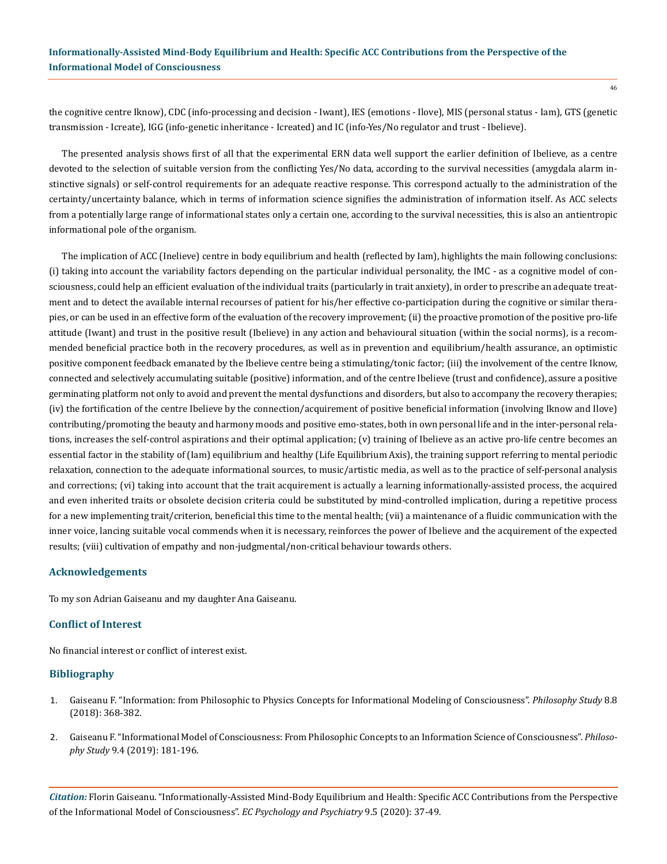the cognitive centre Iknow), CDC (info-processing and decision - Iwant), IES (emotions - Ilove), MIS (personal status - Iam), GTS (genetic transmission - Icreate), IGG (info-genetic inheritance - Icreated) and IC (info-Yes/No regulator and trust - Ibelieve).

The presented analysis shows first of all that the experimental ERN data well support the earlier definition of Ibelieve, as a centre devoted to the selection of suitable version from the conflicting Yes/No data, according to the survival necessities (amygdala alarm instinctive signals) or self-control requirements for an adequate reactive response. This correspond actually to the administration of the certainty/uncertainty balance, which in terms of information science signifies the administration of information itself. As ACC selects from a potentially large range of informational states only a certain one, according to the survival necessities, this is also an antientropic informational pole of the organism.

The implication of ACC (Inelieve) centre in body equilibrium and health (reflected by Iam), highlights the main following conclusions: (i) taking into account the variability factors depending on the particular individual personality, the IMC - as a cognitive model of consciousness, could help an efficient evaluation of the individual traits (particularly in trait anxiety), in order to prescribe an adequate treatment and to detect the available internal recourses of patient for his/her effective co-participation during the cognitive or similar therapies, or can be used in an effective form of the evaluation of the recovery improvement; (ii) the proactive promotion of the positive pro-life attitude (Iwant) and trust in the positive result (Ibelieve) in any action and behavioural situation (within the social norms), is a recommended beneficial practice both in the recovery procedures, as well as in prevention and equilibrium/health assurance, an optimistic positive component feedback emanated by the Ibelieve centre being a stimulating/tonic factor; (iii) the involvement of the centre Iknow, connected and selectively accumulating suitable (positive) information, and of the centre Ibelieve (trust and confidence), assure a positive germinating platform not only to avoid and prevent the mental dysfunctions and disorders, but also to accompany the recovery therapies; (iv) the fortification of the centre Ibelieve by the connection/acquirement of positive beneficial information (involving Iknow and Ilove) contributing/promoting the beauty and harmony moods and positive emo-states, both in own personal life and in the inter-personal relations, increases the self-control aspirations and their optimal application; (v) training of Ibelieve as an active pro-life centre becomes an essential factor in the stability of (Iam) equilibrium and healthy (Life Equilibrium Axis), the training support referring to mental periodic relaxation, connection to the adequate informational sources, to music/artistic media, as well as to the practice of self-personal analysis and corrections; (vi) taking into account that the trait acquirement is actually a learning informationally-assisted process, the acquired and even inherited traits or obsolete decision criteria could be substituted by mind-controlled implication, during a repetitive process for a new implementing trait/criterion, beneficial this time to the mental health; (vii) a maintenance of a fluidic communication with the inner voice, lancing suitable vocal commends when it is necessary, reinforces the power of Ibelieve and the acquirement of the expected results; (viii) cultivation of empathy and non-judgmental/non-critical behaviour towards others.

## **Acknowledgements**

To my son Adrian Gaiseanu and my daughter Ana Gaiseanu.

# **Conflict of Interest**

No financial interest or conflict of interest exist.

## **Bibliography**

- 1. [Gaiseanu F. "Information: from Philosophic to Physics Concepts for Informational Modeling of Consciousness".](https://www.researchgate.net/publication/329402851_Information_From_Philosophic_to_Physics_Concepts_for_Informational_Modeling_of_Consciousness) *Philosophy Study* 8.8 [\(2018\): 368-382.](https://www.researchgate.net/publication/329402851_Information_From_Philosophic_to_Physics_Concepts_for_Informational_Modeling_of_Consciousness)
- 2. [Gaiseanu F. "Informational Model of Consciousness: From Philosophic Concepts to an Information Science of Consciousness".](https://www.researchgate.net/publication/334207912_Informational_Model_of_Consciousness_From_Philosophic_Concepts_to_an_Information_Science_of_Consciousness) *Philosophy Study* [9.4 \(2019\): 181-196.](https://www.researchgate.net/publication/334207912_Informational_Model_of_Consciousness_From_Philosophic_Concepts_to_an_Information_Science_of_Consciousness)

*Citation:* Florin Gaiseanu. "Informationally-Assisted Mind-Body Equilibrium and Health: Specific ACC Contributions from the Perspective of the Informational Model of Consciousness". *EC Psychology and Psychiatry* 9.5 (2020): 37-49.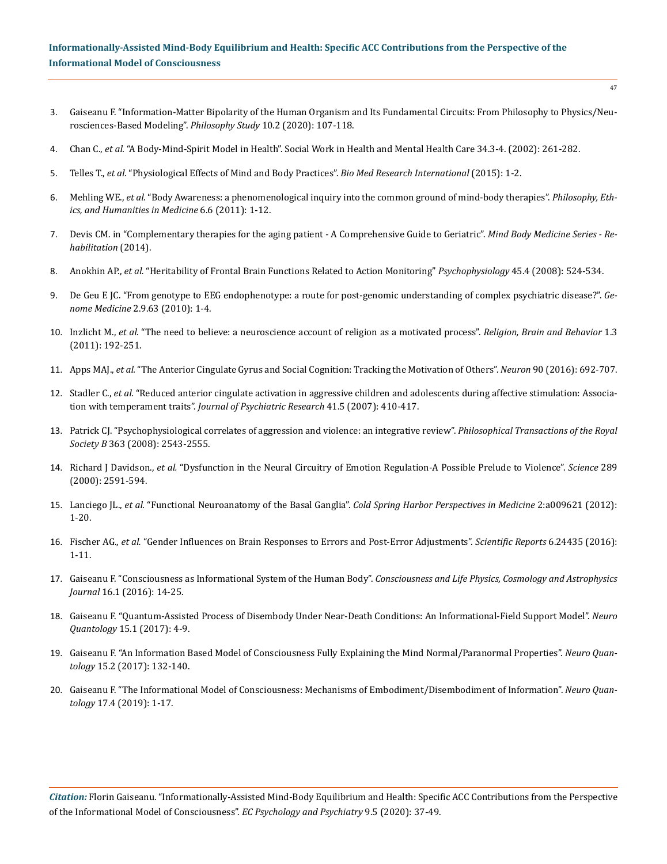- 3. [Gaiseanu F. "Information-Matter Bipolarity of the Human Organism and Its Fundamental Circuits: From Philosophy to Physics/Neu](https://www.researchgate.net/publication/339647003_Information-Matter_Bipolarity_of_the_Human_Organism_and_Its_Fundamental_Circuits_From_Philosophy_to_PhysicsNeurosciences-Based_Modeling)[rosciences-Based Modeling".](https://www.researchgate.net/publication/339647003_Information-Matter_Bipolarity_of_the_Human_Organism_and_Its_Fundamental_Circuits_From_Philosophy_to_PhysicsNeurosciences-Based_Modeling) *Philosophy Study* 10.2 (2020): 107-118.
- 4. Chan C., *et al.* ["A Body-Mind-Spirit Model in Health". Social Work in Health and Mental Health Care 34.3-4. \(2002\): 261-282.](https://www.researchgate.net/publication/254375964_A_Body-Mind-Spirit_Model_in_Health)
- 5. Telles T., *et al.* ["Physiological Effects of Mind and Body Practices".](https://www.ncbi.nlm.nih.gov/pmc/articles/PMC4478368/) *Bio Med Research International* (2015): 1-2.
- 6. Mehling WE., *et al.* ["Body Awareness: a phenomenological inquiry into the common ground of mind-body therapies".](https://peh-med.biomedcentral.com/articles/10.1186/1747-5341-6-6) *Philosophy, Eth[ics, and Humanities in Medicine](https://peh-med.biomedcentral.com/articles/10.1186/1747-5341-6-6)* 6.6 (2011): 1-12.
- 7. [Devis CM. in "Complementary therapies for the aging patient A Comprehensive Guide to Geriatric".](https://www.sciencedirect.com/book/9780702045882/a-comprehensive-guide-to-geriatric-rehabilitation) *Mind Body Medicine Series Re[habilitation](https://www.sciencedirect.com/book/9780702045882/a-comprehensive-guide-to-geriatric-rehabilitation)* (2014).
- 8. Anokhin AP., *et al.* ["Heritability of Frontal Brain Functions Related to Action Monitoring"](https://www.ncbi.nlm.nih.gov/pubmed/18503487) *Psychophysiology* 45.4 (2008): 524-534.
- 9. [De Geu E JC. "From genotype to EEG endophenotype: a route for post-genomic understanding of complex psychiatric disease?".](https://genomemedicine.biomedcentral.com/articles/10.1186/gm184) *Genome Medicine* [2.9.63 \(2010\): 1-4.](https://genomemedicine.biomedcentral.com/articles/10.1186/gm184)
- 10. Inzlicht M., *et al.* ["The need to believe: a neuroscience account of religion as a motivated process".](https://www.researchgate.net/publication/233854365_The_Need_to_Believe_A_Neuroscience_Account_of_Religion_as_a_Motivated_Process) *Religion, Brain and Behavior* 1.3 [\(2011\): 192-251.](https://www.researchgate.net/publication/233854365_The_Need_to_Believe_A_Neuroscience_Account_of_Religion_as_a_Motivated_Process)
- 11. Apps MAJ., *et al.* ["The Anterior Cingulate Gyrus and Social Cognition: Tracking the Motivation of Others".](https://www.ncbi.nlm.nih.gov/pubmed/27196973) *Neuron* 90 (2016): 692-707.
- 12. Stadler C., *et al.* ["Reduced anterior cingulate activation in aggressive children and adolescents during affective stimulation: Associa](https://www.ncbi.nlm.nih.gov/pubmed/16516233)tion with temperament traits". *[Journal of Psychiatric Research](https://www.ncbi.nlm.nih.gov/pubmed/16516233)* 41.5 (2007): 410-417.
- 13. [Patrick CJ. "Psychophysiological correlates of aggression and violence: an integrative review".](https://www.ncbi.nlm.nih.gov/pmc/articles/PMC2606710/) *Philosophical Transactions of the Royal Society B* [363 \(2008\): 2543-2555.](https://www.ncbi.nlm.nih.gov/pmc/articles/PMC2606710/)
- 14. Richard J Davidson., *et al.* ["Dysfunction in the Neural Circuitry of Emotion Regulation-A Possible Prelude to Violence".](https://centerhealthyminds.org/assets/files-publications/DavidsonDysfunctionScience.pdf) *Science* 289 [\(2000\): 2591-594.](https://centerhealthyminds.org/assets/files-publications/DavidsonDysfunctionScience.pdf)
- 15. Lanciego JL., *et al.* "Functional Neuroanatomy of the Basal Ganglia". *[Cold Spring Harbor Perspectives in Medicine](https://www.ncbi.nlm.nih.gov/pmc/articles/PMC3543080/)* 2:a009621 (2012): [1-20.](https://www.ncbi.nlm.nih.gov/pmc/articles/PMC3543080/)
- 16. Fischer AG., *et al.* ["Gender Influences on Brain Responses to Errors and Post-Error Adjustments".](https://www.nature.com/articles/srep24435) *Scientific Reports* 6.24435 (2016): [1-11.](https://www.nature.com/articles/srep24435)
- 17. [Gaiseanu F. "Consciousness as Informational System of the Human Body".](https://www.researchgate.net/publication/312229158_Consciousness_as_Information_System_of_Human_Body) *Consciousness and Life Physics, Cosmology and Astrophysics Journal* [16.1 \(2016\): 14-25.](https://www.researchgate.net/publication/312229158_Consciousness_as_Information_System_of_Human_Body)
- 18. [Gaiseanu F. "Quantum-Assisted Process of Disembody Under Near-Death Conditions: An Informational-Field Support Model".](https://www.researchgate.net/publication/315706009_Quantum-Assisted_Process_of_Disembody_Under_Near-Death_Conditions_An_Informational-Field_Support_Model) *Neuro Quantology* [15.1 \(2017\): 4-9.](https://www.researchgate.net/publication/315706009_Quantum-Assisted_Process_of_Disembody_Under_Near-Death_Conditions_An_Informational-Field_Support_Model)
- 19. [Gaiseanu F. "An Information Based Model of Consciousness Fully Explaining the Mind Normal/Paranormal Properties".](https://www.researchgate.net/publication/317814751_An_Information_Based_Model_of_Consciousness_Fully_Explaining_the_Mind_NormalParanormal_Properties) *Neuro Quantology* [15.2 \(2017\): 132-140.](https://www.researchgate.net/publication/317814751_An_Information_Based_Model_of_Consciousness_Fully_Explaining_the_Mind_NormalParanormal_Properties)
- 20. [Gaiseanu F. "The Informational Model of Consciousness: Mechanisms of Embodiment/Disembodiment of Information".](https://www.researchgate.net/publication/332767335_The_Informational_Model_of_Consciousness_Mechanisms_of_EmbodimentDisembodiment_of_Information) *Neuro Quantology* [17.4 \(2019\): 1-17.](https://www.researchgate.net/publication/332767335_The_Informational_Model_of_Consciousness_Mechanisms_of_EmbodimentDisembodiment_of_Information)

*Citation:* Florin Gaiseanu. "Informationally-Assisted Mind-Body Equilibrium and Health: Specific ACC Contributions from the Perspective of the Informational Model of Consciousness". *EC Psychology and Psychiatry* 9.5 (2020): 37-49.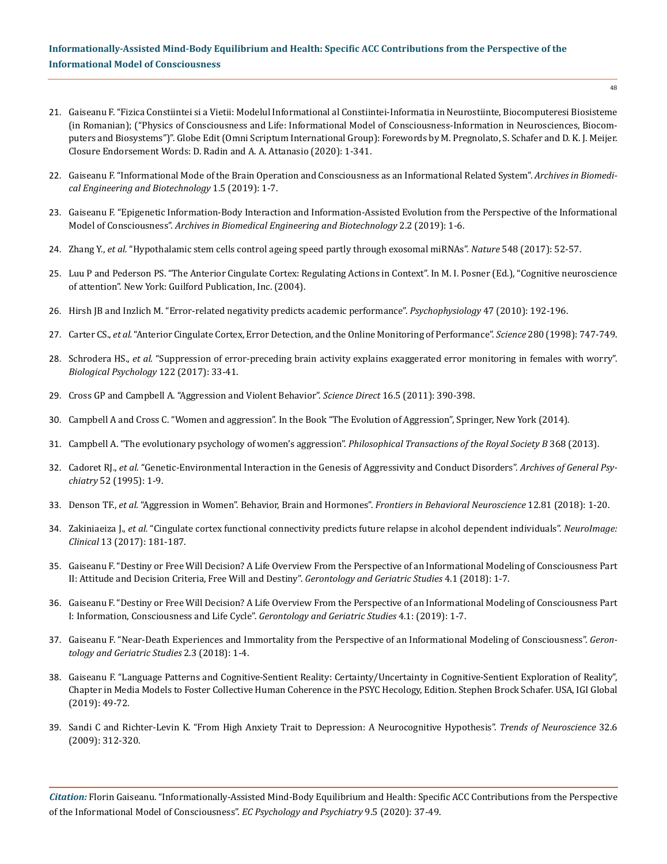- 21. Gaiseanu F. "Fizica Constiintei si a Vietii: Modelul Informational al Constiintei-Informatia in Neurostiinte, Biocomputeresi Biosisteme (in Romanian); ("Physics of Consciousness and Life: Informational Model of Consciousness-Information in Neurosciences, Biocomputers and Biosystems")". Globe Edit (Omni Scriptum International Group): Forewords by M. Pregnolato, S. Schafer and D. K. J. Meijer. Closure Endorsement Words: D. Radin and A. A. Attanasio (2020): 1-341.
- 22. [Gaiseanu F. "Informational Mode of the Brain Operation and Consciousness as an Informational Related System".](https://www.researchgate.net/publication/333697531_Informational_Mode_of_the_Brain_Operation_and_Consciousness_as_an_Informational_Related_System) *Archives in Biomedi[cal Engineering and Biotechnology](https://www.researchgate.net/publication/333697531_Informational_Mode_of_the_Brain_Operation_and_Consciousness_as_an_Informational_Related_System)* 1.5 (2019): 1-7.
- 23. [Gaiseanu F. "Epigenetic Information-Body Interaction and Information-Assisted Evolution from the Perspective of the Informational](https://irispublishers.com/abeb/fulltext/epigenetic-information-body-interaction-and-information-assisted-evolution.ID.000532.php)  Model of Consciousness". *[Archives in Biomedical Engineering and Biotechnology](https://irispublishers.com/abeb/fulltext/epigenetic-information-body-interaction-and-information-assisted-evolution.ID.000532.php)* 2.2 (2019): 1-6.
- 24. Zhang Y., *et al.* ["Hypothalamic stem cells control ageing speed partly through exosomal miRNAs".](https://www.nature.com/articles/nature23282) *Nature* 548 (2017): 52-57.
- 25. Luu P and Pederson PS. "The Anterior Cingulate Cortex: Regulating Actions in Context". In M. I. Posner (Ed.), "Cognitive neuroscience of attention". New York: Guilford Publication, Inc. (2004).
- 26. [Hirsh JB and Inzlich M. "Error-related negativity predicts academic performance".](https://www.researchgate.net/publication/26735826_Error-related_negativity_predicts_academic_performance) *Psychophysiology* 47 (2010): 192-196.
- 27. Carter CS., *et al.* ["Anterior Cingulate Cortex, Error Detection, and the Online Monitoring of Performance".](https://www.ncbi.nlm.nih.gov/pubmed/9563953) *Science* 280 (1998): 747-749.
- 28. Schrodera HS., *et al.* ["Suppression of error-preceding brain activity explains exaggerated error monitoring in females with worry".](https://www.ncbi.nlm.nih.gov/pubmed/27020661) *[Biological Psychology](https://www.ncbi.nlm.nih.gov/pubmed/27020661)* 122 (2017): 33-41.
- 29. [Cross GP and Campbell A. "Aggression and Violent Behavior".](https://www.journals.elsevier.com/aggression-and-violent-behavior) *Science Direct* 16.5 (2011): 390-398.
- 30. Campbell A and Cross C. "Women and aggression". In the Book "The Evolution of Aggression", Springer, New York (2014).
- 31. [Campbell A. "The evolutionary psychology of women's aggression".](https://www.ncbi.nlm.nih.gov/pmc/articles/PMC3826207/) *Philosophical Transactions of the Royal Society B* 368 (2013).
- 32. Cadoret RJ., *et al.* ["Genetic-Environmental Interaction in the Genesis of Aggressivity and Conduct Disorders".](https://jamanetwork.com/journals/jamapsychiatry/article-abstract/497273) *Archives of General Psychiatry* [52 \(1995\): 1-9.](https://jamanetwork.com/journals/jamapsychiatry/article-abstract/497273)
- 33. Denson TF., *et al.* ["Aggression in Women". Behavior, Brain and Hormones".](https://www.frontiersin.org/articles/10.3389/fnbeh.2018.00081/full) *Frontiers in Behavioral Neuroscience* 12.81 (2018): 1-20.
- 34. Zakiniaeiza J., *et al.* ["Cingulate cortex functional connectivity predicts future relapse in alcohol dependent individuals".](https://www.sciencedirect.com/science/article/pii/S2213158216302005) *NeuroImage: Clinical* [13 \(2017\): 181-187.](https://www.sciencedirect.com/science/article/pii/S2213158216302005)
- 35. [Gaiseanu F. "Destiny or Free Will Decision? A Life Overview From the Perspective of an Informational Modeling of Consciousness Part](https://www.researchgate.net/publication/328882558_Destiny_or_Free_Will_Decision_A_Life_Overview_from_the_Perspective_of_an_Informational_Modeling_of_ConsciousnessPart_II_Attitude_and_Decision_Criteria_Free_Will_and_Destiny)  [II: Attitude and Decision Criteria, Free Will and Destiny".](https://www.researchgate.net/publication/328882558_Destiny_or_Free_Will_Decision_A_Life_Overview_from_the_Perspective_of_an_Informational_Modeling_of_ConsciousnessPart_II_Attitude_and_Decision_Criteria_Free_Will_and_Destiny) *Gerontology and Geriatric Studies* 4.1 (2018): 1-7.
- 36. [Gaiseanu F. "Destiny or Free Will Decision? A Life Overview From the Perspective of an Informational Modeling of Consciousness Part](https://www.researchgate.net/publication/338695233_Destiny_or_Free_Will_Decision_A_Life_Overview_from_the_Perspective_of_an_Informational_Modeling_of_Consciousness_Part_I_Information_Consciousness_and_Life_Cycle)  [I: Information, Consciousness and Life Cycle".](https://www.researchgate.net/publication/338695233_Destiny_or_Free_Will_Decision_A_Life_Overview_from_the_Perspective_of_an_Informational_Modeling_of_Consciousness_Part_I_Information_Consciousness_and_Life_Cycle) *Gerontology and Geriatric Studies* 4.1: (2019): 1-7.
- 37. [Gaiseanu F. "Near-Death Experiences and Immortality from the Perspective of an Informational Modeling of Consciousness".](https://www.researchgate.net/publication/327958069_Near-Death_Experiences_and_Immortality_from_the_Perspective_of_an_Informational_Modeling_of_Consciousness) *Geron[tology and Geriatric Studies](https://www.researchgate.net/publication/327958069_Near-Death_Experiences_and_Immortality_from_the_Perspective_of_an_Informational_Modeling_of_Consciousness)* 2.3 (2018): 1-4.
- 38. Gaiseanu F. "Language Patterns and Cognitive-Sentient Reality: Certainty/Uncertainty in Cognitive-Sentient Exploration of Reality", Chapter in Media Models to Foster Collective Human Coherence in the PSYC Hecology, Edition. Stephen Brock Schafer. USA, IGI Global (2019): 49-72.
- 39. [Sandi C and Richter-Levin K. "From High Anxiety Trait to Depression: A Neurocognitive Hypothesis".](https://www.semanticscholar.org/paper/From-high-anxiety-trait-to-depression%3A-a-hypothesis-Sandi-Richter-Levin/5ed5f9847fba98fa302db55ae05f8dae7113414e) *Trends of Neuroscience* 32.6 [\(2009\): 312-320.](https://www.semanticscholar.org/paper/From-high-anxiety-trait-to-depression%3A-a-hypothesis-Sandi-Richter-Levin/5ed5f9847fba98fa302db55ae05f8dae7113414e)

*Citation:* Florin Gaiseanu. "Informationally-Assisted Mind-Body Equilibrium and Health: Specific ACC Contributions from the Perspective of the Informational Model of Consciousness". *EC Psychology and Psychiatry* 9.5 (2020): 37-49.